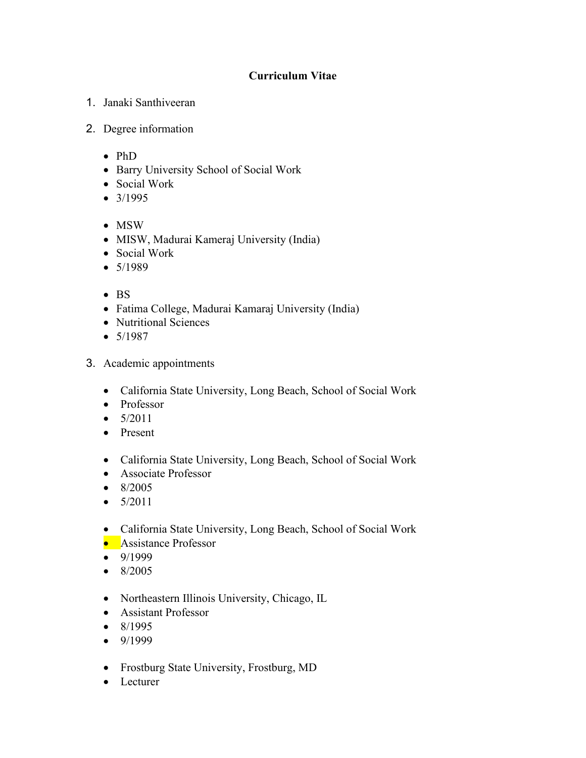## **Curriculum Vitae**

- 1. Janaki Santhiveeran
- 2. Degree information
	- PhD
	- Barry University School of Social Work
	- Social Work
	- 3/1995
	- MSW
	- MISW, Madurai Kameraj University (India)
	- Social Work
	- 5/1989
	- BS
	- Fatima College, Madurai Kamaraj University (India)
	- Nutritional Sciences
	- 5/1987
- 3. Academic appointments
	- California State University, Long Beach, School of Social Work
	- Professor
	- $5/2011$
	- Present
	- California State University, Long Beach, School of Social Work
	- Associate Professor
	- 8/2005
	- $5/2011$
	- California State University, Long Beach, School of Social Work
	- Assistance Professor
	- 9/1999
	- 8/2005
	- Northeastern Illinois University, Chicago, IL
	- Assistant Professor
	- 8/1995
	- 9/1999
	- Frostburg State University, Frostburg, MD
	- Lecturer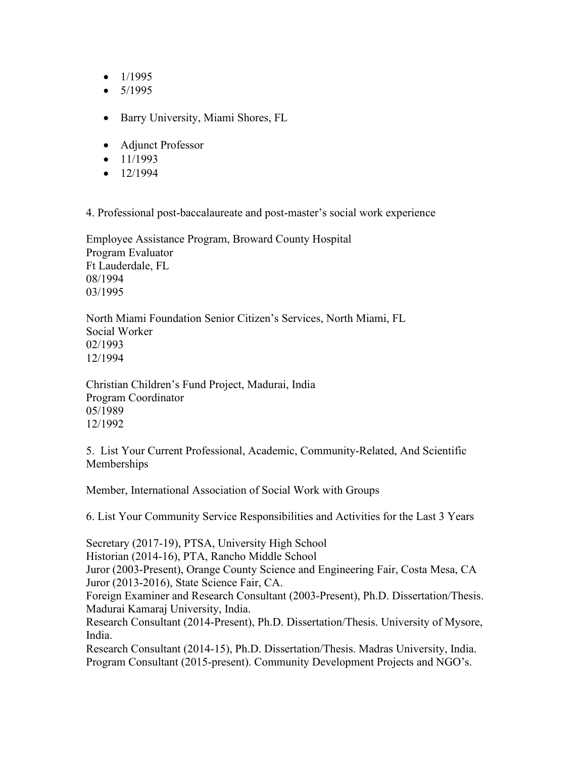- $\bullet$  1/1995
- $5/1995$
- Barry University, Miami Shores, FL
- Adjunct Professor
- $\bullet$  11/1993
- $-12/1994$

4. Professional post-baccalaureate and post-master's social work experience

Employee Assistance Program, Broward County Hospital Program Evaluator Ft Lauderdale, FL 08/1994 03/1995

North Miami Foundation Senior Citizen's Services, North Miami, FL Social Worker 02/1993 12/1994

Christian Children's Fund Project, Madurai, India Program Coordinator 05/1989 12/1992

5. List Your Current Professional, Academic, Community-Related, And Scientific Memberships

Member, International Association of Social Work with Groups

6. List Your Community Service Responsibilities and Activities for the Last 3 Years

Secretary (2017-19), PTSA, University High School Historian (2014-16), PTA, Rancho Middle School Juror (2003-Present), Orange County Science and Engineering Fair, Costa Mesa, CA Juror (2013-2016), State Science Fair, CA. Foreign Examiner and Research Consultant (2003-Present), Ph.D. Dissertation/Thesis. Madurai Kamaraj University, India. Research Consultant (2014-Present), Ph.D. Dissertation/Thesis. University of Mysore, India. Research Consultant (2014-15), Ph.D. Dissertation/Thesis. Madras University, India.

Program Consultant (2015-present). Community Development Projects and NGO's.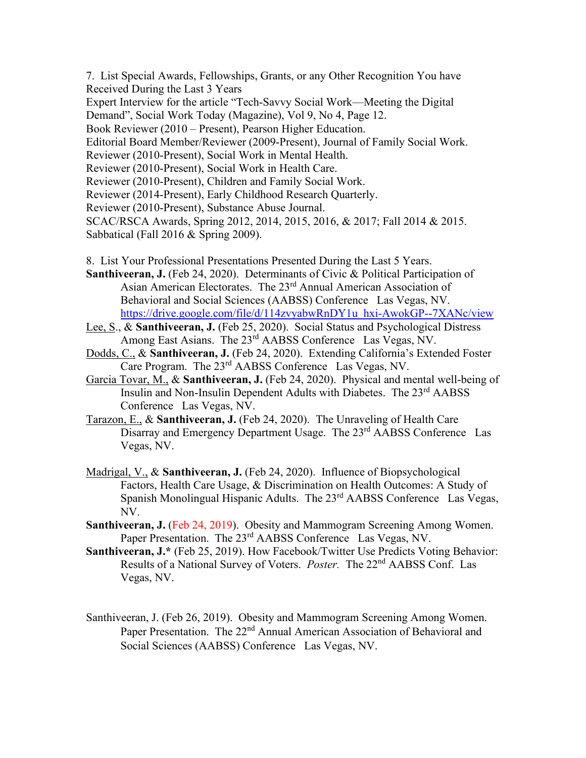7. List Special Awards, Fellowships, Grants, or any Other Recognition You have Received During the Last 3 Years

Expert Interview for the article "Tech-Savvy Social Work—Meeting the Digital Demand", Social Work Today (Magazine), Vol 9, No 4, Page 12.

Book Reviewer (2010 – Present), Pearson Higher Education.

Editorial Board Member/Reviewer (2009-Present), Journal of Family Social Work.

Reviewer (2010-Present), Social Work in Mental Health.

Reviewer (2010-Present), Social Work in Health Care.

Reviewer (2010-Present), Children and Family Social Work.

Reviewer (2014-Present), Early Childhood Research Quarterly.

Reviewer (2010-Present), Substance Abuse Journal.

SCAC/RSCA Awards, Spring 2012, 2014, 2015, 2016, & 2017; Fall 2014 & 2015.

Sabbatical (Fall 2016 & Spring 2009).

8. List Your Professional Presentations Presented During the Last 5 Years.

**Santhiveeran, J.** (Feb 24, 2020). Determinants of Civic & Political Participation of Asian American Electorates. The 23<sup>rd</sup> Annual American Association of Behavioral and Social Sciences (AABSS) Conference Las Vegas, NV. [https://drive.google.com/file/d/114zvyabwRnDY1u\\_hxi-AwokGP--7XANc/view](https://drive.google.com/file/d/114zvyabwRnDY1u_hxi-AwokGP--7XANc/view)

- Lee, S., & **Santhiveeran, J.** (Feb 25, 2020). Social Status and Psychological Distress Among East Asians. The 23<sup>rd</sup> AABSS Conference Las Vegas, NV.
- Dodds, C., & **Santhiveeran, J.** (Feb 24, 2020). Extending California's Extended Foster Care Program. The 23rd AABSS Conference Las Vegas, NV.
- Garcia Tovar, M., & **Santhiveeran, J.** (Feb 24, 2020). Physical and mental well-being of Insulin and Non-Insulin Dependent Adults with Diabetes. The 23rd AABSS Conference Las Vegas, NV.

Tarazon, E., & **Santhiveeran, J.** (Feb 24, 2020). The Unraveling of Health Care Disarray and Emergency Department Usage. The 23<sup>rd</sup> AABSS Conference Las Vegas, NV.

- Madrigal, V., & **Santhiveeran, J.** (Feb 24, 2020). Influence of Biopsychological Factors, Health Care Usage, & Discrimination on Health Outcomes: A Study of Spanish Monolingual Hispanic Adults. The 23<sup>rd</sup> AABSS Conference Las Vegas, NV.
- **Santhiveeran, J.** (Feb 24, 2019). Obesity and Mammogram Screening Among Women. Paper Presentation. The 23<sup>rd</sup> AABSS Conference Las Vegas, NV.
- **Santhiveeran, J.\*** (Feb 25, 2019). How Facebook/Twitter Use Predicts Voting Behavior: Results of a National Survey of Voters. *Poster.* The 22nd AABSS Conf. Las Vegas, NV.
- Santhiveeran, J. (Feb 26, 2019). Obesity and Mammogram Screening Among Women. Paper Presentation. The 22<sup>nd</sup> Annual American Association of Behavioral and Social Sciences (AABSS) Conference Las Vegas, NV.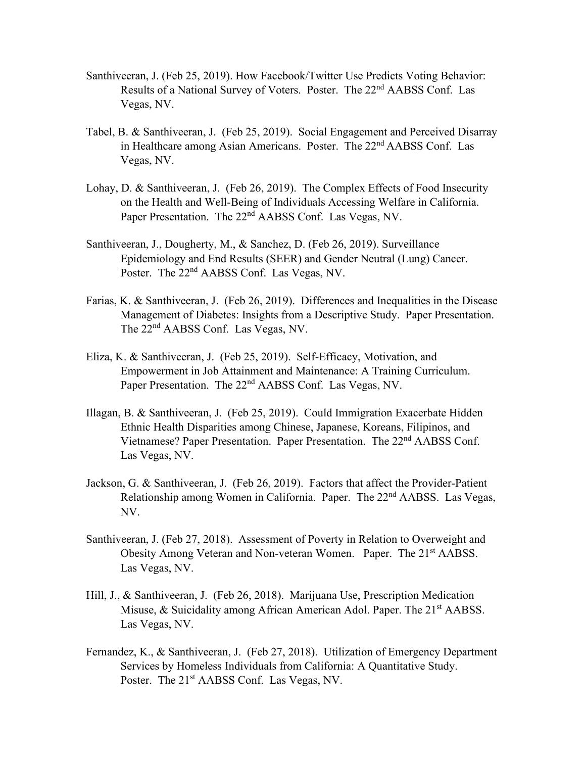- Santhiveeran, J. (Feb 25, 2019). How Facebook/Twitter Use Predicts Voting Behavior: Results of a National Survey of Voters. Poster. The 22<sup>nd</sup> AABSS Conf. Las Vegas, NV.
- Tabel, B. & Santhiveeran, J. (Feb 25, 2019). Social Engagement and Perceived Disarray in Healthcare among Asian Americans. Poster. The 22<sup>nd</sup> AABSS Conf. Las Vegas, NV.
- Lohay, D. & Santhiveeran, J. (Feb 26, 2019). The Complex Effects of Food Insecurity on the Health and Well-Being of Individuals Accessing Welfare in California. Paper Presentation. The 22<sup>nd</sup> AABSS Conf. Las Vegas, NV.
- Santhiveeran, J., Dougherty, M., & Sanchez, D. (Feb 26, 2019). Surveillance Epidemiology and End Results (SEER) and Gender Neutral (Lung) Cancer. Poster. The 22<sup>nd</sup> AABSS Conf. Las Vegas, NV.
- Farias, K. & Santhiveeran, J. (Feb 26, 2019). Differences and Inequalities in the Disease Management of Diabetes: Insights from a Descriptive Study. Paper Presentation. The 22<sup>nd</sup> AABSS Conf. Las Vegas, NV.
- Eliza, K. & Santhiveeran, J. (Feb 25, 2019). Self-Efficacy, Motivation, and Empowerment in Job Attainment and Maintenance: A Training Curriculum. Paper Presentation. The 22<sup>nd</sup> AABSS Conf. Las Vegas, NV.
- Illagan, B. & Santhiveeran, J. (Feb 25, 2019). Could Immigration Exacerbate Hidden Ethnic Health Disparities among Chinese, Japanese, Koreans, Filipinos, and Vietnamese? Paper Presentation. Paper Presentation. The 22<sup>nd</sup> AABSS Conf. Las Vegas, NV.
- Jackson, G. & Santhiveeran, J. (Feb 26, 2019). Factors that affect the Provider-Patient Relationship among Women in California. Paper. The 22nd AABSS. Las Vegas, NV.
- Santhiveeran, J. (Feb 27, 2018). Assessment of Poverty in Relation to Overweight and Obesity Among Veteran and Non-veteran Women. Paper. The 21<sup>st</sup> AABSS. Las Vegas, NV.
- Hill, J., & Santhiveeran, J. (Feb 26, 2018). Marijuana Use, Prescription Medication Misuse, & Suicidality among African American Adol. Paper. The 21<sup>st</sup> AABSS. Las Vegas, NV.
- Fernandez, K., & Santhiveeran, J. (Feb 27, 2018). Utilization of Emergency Department Services by Homeless Individuals from California: A Quantitative Study. Poster. The 21<sup>st</sup> AABSS Conf. Las Vegas, NV.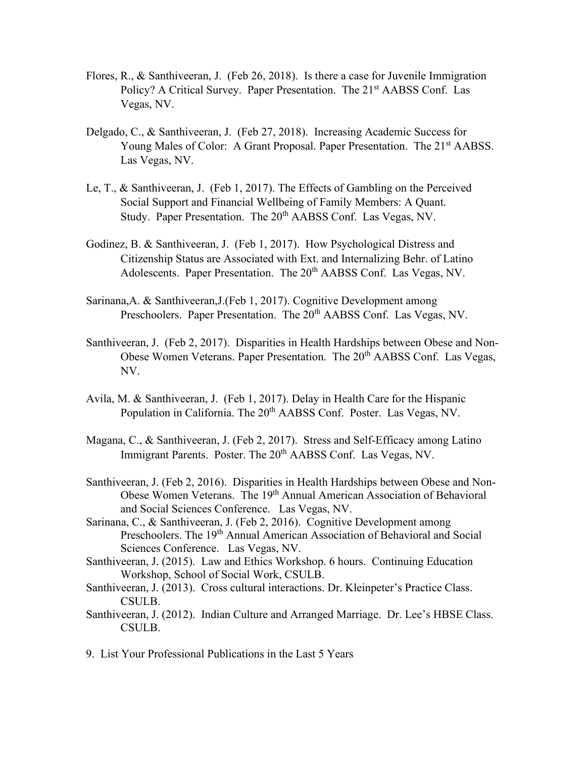- Flores, R., & Santhiveeran, J. (Feb 26, 2018). Is there a case for Juvenile Immigration Policy? A Critical Survey. Paper Presentation. The 21<sup>st</sup> AABSS Conf. Las Vegas, NV.
- Delgado, C., & Santhiveeran, J. (Feb 27, 2018). Increasing Academic Success for Young Males of Color: A Grant Proposal. Paper Presentation. The 21<sup>st</sup> AABSS. Las Vegas, NV.
- Le, T., & Santhiveeran, J. (Feb 1, 2017). The Effects of Gambling on the Perceived Social Support and Financial Wellbeing of Family Members: A Quant. Study. Paper Presentation. The 20<sup>th</sup> AABSS Conf. Las Vegas, NV.
- Godinez, B. & Santhiveeran, J. (Feb 1, 2017). How Psychological Distress and Citizenship Status are Associated with Ext. and Internalizing Behr. of Latino Adolescents. Paper Presentation. The 20<sup>th</sup> AABSS Conf. Las Vegas, NV.
- Sarinana,A. & Santhiveeran,J.(Feb 1, 2017). Cognitive Development among Preschoolers. Paper Presentation. The 20<sup>th</sup> AABSS Conf. Las Vegas, NV.
- Santhiveeran, J. (Feb 2, 2017). Disparities in Health Hardships between Obese and Non-Obese Women Veterans. Paper Presentation. The 20<sup>th</sup> AABSS Conf. Las Vegas, NV.
- Avila, M. & Santhiveeran, J. (Feb 1, 2017). Delay in Health Care for the Hispanic Population in California. The 20<sup>th</sup> AABSS Conf. Poster. Las Vegas, NV.
- Magana, C., & Santhiveeran, J. (Feb 2, 2017). Stress and Self-Efficacy among Latino Immigrant Parents. Poster. The 20<sup>th</sup> AABSS Conf. Las Vegas, NV.
- Santhiveeran, J. (Feb 2, 2016). Disparities in Health Hardships between Obese and Non-Obese Women Veterans. The 19th Annual American Association of Behavioral and Social Sciences Conference. Las Vegas, NV.
- Sarinana, C., & Santhiveeran, J. (Feb 2, 2016). Cognitive Development among Preschoolers. The 19<sup>th</sup> Annual American Association of Behavioral and Social Sciences Conference. Las Vegas, NV.
- Santhiveeran, J. (2015). Law and Ethics Workshop. 6 hours. Continuing Education Workshop, School of Social Work, CSULB.
- Santhiveeran, J. (2013). Cross cultural interactions. Dr. Kleinpeter's Practice Class. CSULB.
- Santhiveeran, J. (2012). Indian Culture and Arranged Marriage. Dr. Lee's HBSE Class. CSULB.
- 9. List Your Professional Publications in the Last 5 Years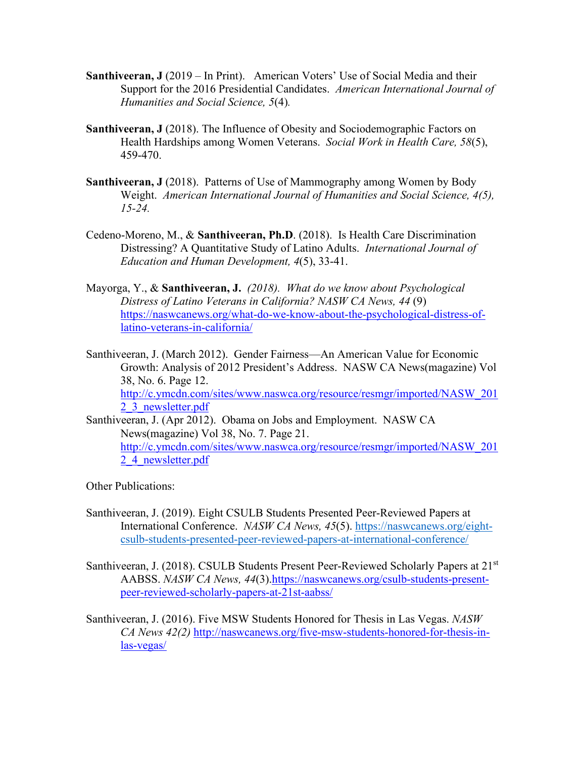- **Santhiveeran, J** (2019 In Print). American Voters' Use of Social Media and their Support for the 2016 Presidential Candidates. *American International Journal of Humanities and Social Science, 5*(4)*.*
- **Santhiveeran, J** (2018). The Influence of Obesity and Sociodemographic Factors on Health Hardships among Women Veterans. *Social Work in Health Care, 58*(5), 459-470.
- **Santhiveeran, J** (2018). Patterns of Use of Mammography among Women by Body Weight. *American International Journal of Humanities and Social Science, 4(5), 15-24.*
- Cedeno-Moreno, M., & **Santhiveeran, Ph.D**. (2018). Is Health Care Discrimination Distressing? A Quantitative Study of Latino Adults. *International Journal of Education and Human Development, 4*(5), 33-41.
- Mayorga, Y., & **Santhiveeran, J.** *(2018). What do we know about Psychological Distress of Latino Veterans in California? NASW CA News, 44* (9) [https://naswcanews.org/what-do-we-know-about-the-psychological-distress-of](https://naswcanews.org/what-do-we-know-about-the-psychological-distress-of-latino-veterans-in-california/)[latino-veterans-in-california/](https://naswcanews.org/what-do-we-know-about-the-psychological-distress-of-latino-veterans-in-california/)
- Santhiveeran, J. (March 2012). Gender Fairness—An American Value for Economic Growth: Analysis of 2012 President's Address. NASW CA News(magazine) Vol 38, No. 6. Page 12.

[http://c.ymcdn.com/sites/www.naswca.org/resource/resmgr/imported/NASW\\_201](http://c.ymcdn.com/sites/www.naswca.org/resource/resmgr/imported/NASW_2012_3_newsletter.pdf) [2\\_3\\_newsletter.pdf](http://c.ymcdn.com/sites/www.naswca.org/resource/resmgr/imported/NASW_2012_3_newsletter.pdf)

Santhiveeran, J. (Apr 2012). Obama on Jobs and Employment. NASW CA News(magazine) Vol 38, No. 7. Page 21. [http://c.ymcdn.com/sites/www.naswca.org/resource/resmgr/imported/NASW\\_201](http://c.ymcdn.com/sites/www.naswca.org/resource/resmgr/imported/NASW_2012_4_newsletter.pdf) [2\\_4\\_newsletter.pdf](http://c.ymcdn.com/sites/www.naswca.org/resource/resmgr/imported/NASW_2012_4_newsletter.pdf)

Other Publications:

- Santhiveeran, J. (2019). Eight CSULB Students Presented Peer-Reviewed Papers at International Conference. *NASW CA News, 45*(5). [https://naswcanews.org/eight](https://naswcanews.org/eight-csulb-students-presented-peer-reviewed-papers-at-international-conference/)[csulb-students-presented-peer-reviewed-papers-at-international-conference/](https://naswcanews.org/eight-csulb-students-presented-peer-reviewed-papers-at-international-conference/)
- Santhiveeran, J. (2018). CSULB Students Present Peer-Reviewed Scholarly Papers at 21<sup>st</sup> AABSS. *NASW CA News, 44(3)*[.https://naswcanews.org/csulb-students-present](https://naswcanews.org/csulb-students-present-peer-reviewed-scholarly-papers-at-21st-aabss/)[peer-reviewed-scholarly-papers-at-21st-aabss/](https://naswcanews.org/csulb-students-present-peer-reviewed-scholarly-papers-at-21st-aabss/)
- Santhiveeran, J. (2016). Five MSW Students Honored for Thesis in Las Vegas. *NASW CA News 42(2)* [http://naswcanews.org/five-msw-students-honored-for-thesis-in](http://naswcanews.org/five-msw-students-honored-for-thesis-in-las-vegas/)[las-vegas/](http://naswcanews.org/five-msw-students-honored-for-thesis-in-las-vegas/)